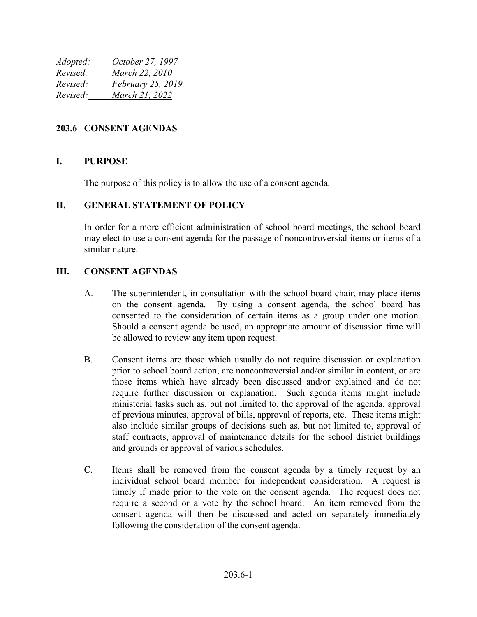| Adopted: | October 27, 1997         |
|----------|--------------------------|
| Revised: | March 22, 2010           |
| Revised: | <i>February 25, 2019</i> |
| Revised: | March 21, 2022           |

## **203.6 CONSENT AGENDAS**

## **I. PURPOSE**

The purpose of this policy is to allow the use of a consent agenda.

## **II. GENERAL STATEMENT OF POLICY**

In order for a more efficient administration of school board meetings, the school board may elect to use a consent agenda for the passage of noncontroversial items or items of a similar nature.

## **III. CONSENT AGENDAS**

- A. The superintendent, in consultation with the school board chair, may place items on the consent agenda. By using a consent agenda, the school board has consented to the consideration of certain items as a group under one motion. Should a consent agenda be used, an appropriate amount of discussion time will be allowed to review any item upon request.
- B. Consent items are those which usually do not require discussion or explanation prior to school board action, are noncontroversial and/or similar in content, or are those items which have already been discussed and/or explained and do not require further discussion or explanation. Such agenda items might include ministerial tasks such as, but not limited to, the approval of the agenda, approval of previous minutes, approval of bills, approval of reports, etc. These items might also include similar groups of decisions such as, but not limited to, approval of staff contracts, approval of maintenance details for the school district buildings and grounds or approval of various schedules.
- C. Items shall be removed from the consent agenda by a timely request by an individual school board member for independent consideration. A request is timely if made prior to the vote on the consent agenda. The request does not require a second or a vote by the school board. An item removed from the consent agenda will then be discussed and acted on separately immediately following the consideration of the consent agenda.